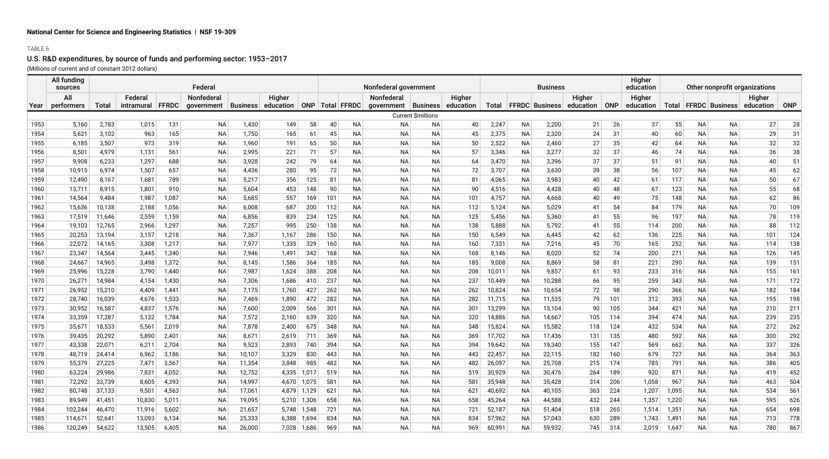## TABLE 6

# U.S. R&D expenditures, by source of funds and performing sector: 1953–2017

(Millions of current and of constant 2012 dollars)

|      | All funding<br>sources |        |            |       | Federal    |              |           |       |     |                     | Nonfederal government |                    |           |        |           | <b>Business</b>       |           |         | Higher<br>Other nonprofit organizations<br>education |       |           |                       |                     |            |
|------|------------------------|--------|------------|-------|------------|--------------|-----------|-------|-----|---------------------|-----------------------|--------------------|-----------|--------|-----------|-----------------------|-----------|---------|------------------------------------------------------|-------|-----------|-----------------------|---------------------|------------|
|      | All                    |        | Federal    |       | Nonfederal |              | Higher    |       |     |                     | Nonfederal            |                    | Higher    |        |           |                       | Higher    |         | Higher                                               |       |           |                       |                     |            |
| Year | performers             | Total  | intramural | FFRDC | qovernment | ∣ Business ∣ | education |       |     | ONP   Total   FFRDC | qovernment   Business |                    | education | Total  |           | <b>FFRDC</b> Business | education | $ $ ONP | education                                            | Total |           | <b>FFRDC</b> Business | Higher<br>education | <b>ONP</b> |
|      |                        |        |            |       |            |              |           |       |     |                     |                       | Current \$millions |           |        |           |                       |           |         |                                                      |       |           |                       |                     |            |
| 1953 | 5,160                  | 2,783  | 1,015      | 131   | <b>NA</b>  | 1,430        | 149       | 58    | 40  | <b>NA</b>           | <b>NA</b>             | ΝA                 | 40        | 2,247  | <b>NA</b> | 2,200                 | 21        | 26      | 37                                                   | 55    | NA        | <b>NA</b>             | 27                  | 28         |
| 1954 | 5,621                  | 3,102  | 963        | 165   | NA         | 1,750        | 165       | 61    | 45  | <b>NA</b>           | <b>NA</b>             | ΝA                 | 45        | 2,375  | ΝA        | 2,320                 | 24        | 31      | 40                                                   | 60    | NА        | <b>NA</b>             | 29                  | 31         |
| 1955 | 6,185                  | 3,507  | 973        | 319   | NA         | 1,960        | 191       | 65    | 50  | ΝA                  | <b>NA</b>             | <b>NA</b>          | 50        | 2,522  | NA        | 2,460                 | 27        | 35      | 42                                                   | 64    | NA        | ΝA                    | 32                  | 32         |
| 1956 | 8,501                  | 4,979  | 1,131      | 561   | NA         | 2,995        | 221       | 71    | 57  | ΝA                  | <b>NA</b>             | <b>NA</b>          | 57        | 3,346  | NA        | 3,277                 | 32        | 37      | 46                                                   | 74    | NA        | ΝA                    | 36                  | 38         |
| 1957 | 9,908                  | 6,233  | 1,297      | 688   | NA         | 3,928        | 242       | 79    | 64  | ΝA                  | NA                    | ΝA                 | 64        | 3,470  | ΝA        | 3,396                 | 37        | 37      | 51                                                   | 91    | NА        | NА                    | 40                  | 51         |
| 1958 | 10,915                 | 6,974  | 1,507      | 657   | <b>NA</b>  | 4,436        | 280       | 95    | 72  | <b>NA</b>           | <b>NA</b>             | <b>NA</b>          | 72        | 3,707  | ΝA        | 3,630                 | 39        | 38      | 56                                                   | 107   | <b>NA</b> | <b>NA</b>             | 45                  | 62         |
| 1959 | 12,490                 | 8,167  | 1,681      | 789   | <b>NA</b>  | 5,217        | 356       | 125   | 81  | <b>NA</b>           | <b>NA</b>             | <b>NA</b>          | 81        | 4,065  | ΝA        | 3,983                 | 40        | 42      | 61                                                   | 117   | <b>NA</b> | <b>NA</b>             | 50                  | 67         |
| 1960 | 13,711                 | 8,915  | 1,801      | 910   | <b>NA</b>  | 5,604        | 453       | 148   | 90  | <b>NA</b>           | <b>NA</b>             | <b>NA</b>          | 90        | 4,516  | ΝA        | 4,428                 | 40        | 48      | 67                                                   | 123   | <b>NA</b> | NA.                   | 55                  | 68         |
| 1961 | 14,564                 | 9,484  | 1,987      | 1,087 | NA         | 5,685        | 557       | 169   | 101 | NA                  | <b>NA</b>             | ΝA                 | 101       | 4,757  | ΝA        | 4,668                 | 40        | 49      | 75                                                   | 148   | NA        | ΝA                    | 62                  | 86         |
| 1962 | 15,636                 | 10,138 | 2,188      | 1,056 | ΝA         | 6,008        | 687       | 200   | 112 | ΝA                  | <b>NA</b>             | ΝA                 | 112       | 5,124  | ΝA        | 5,029                 | 41        | 54      | 84                                                   | 179   | NА        | ΝA                    | 70                  | 109        |
| 1963 | 17,519                 | 11,646 | 2,559      | 1,159 | ΝA         | 6,856        | 839       | 234   | 125 | ΝA                  | NA                    | ΝA                 | 125       | 5,456  | ΝA        | 5,360                 | 41        | 55      | 96                                                   | 197   | NA.       | ΝA                    | 78                  | 119        |
| 1964 | 19,103                 | 12,765 | 2,966      | 1,297 | ΝA         | 7,257        | 995       | 250   | 138 | ΝA                  | ΝA                    | ΝA                 | 138       | 5,888  | ΝA        | 5,792                 | 41        | 55      | 114                                                  | 200   | NА        | ΝA                    | 88                  | 112        |
| 1965 | 20,253                 | 13,194 | 3,157      | 1,218 | <b>NA</b>  | 7,367        | 1,167     | 286   | 150 | NA                  | ΝA                    | ΝA                 | 150       | 6,549  | ΝA        | 6,445                 | 42        | 62      | 136                                                  | 225   | NА        | ΝA                    | 101                 | 124        |
| 1966 | 22,072                 | 14,165 | 3,308      | 1,217 | <b>NA</b>  | 7,977        | 1,335     | 329   | 160 | NA.                 | NA                    | <b>NA</b>          | 160       | 7,331  | <b>NA</b> | 7,216                 | 45        | 70      | 165                                                  | 252   | NA.       | NA.                   | 114                 | 138        |
| 1967 | 23,347                 | 14,564 | 3,445      | 1,340 | ΝA         | 7,946        | 1,491     | 342   | 168 | <b>NA</b>           | NA                    | <b>NA</b>          | 168       | 8,146  | ΝA        | 8,020                 | 52        | 74      | 200                                                  | 271   | <b>NA</b> | NA.                   | 126                 | 145        |
| 1968 | 24,667                 | 14,965 | 3,498      | 1,372 | ΝA         | 8,145        | 1,586     | 364   | 185 | <b>NA</b>           | <b>NA</b>             | ΝA                 | 185       | 9,008  | ΝA        | 8,869                 | 58        | 81      | 221                                                  | 290   | NA        | NA                    | 139                 | 151        |
| 1969 | 25,996                 | 15,228 | 3,790      | 1,440 | ΝA         | 7,987        | 1,624     | 388   | 208 | <b>NA</b>           | <b>NA</b>             | <b>NA</b>          | 208       | 10,011 | <b>NA</b> | 9,857                 | 61        | 93      | 233                                                  | 316   | <b>NA</b> | NA                    | 155                 | 161        |
| 1970 | 26,271                 | 14,984 | 4,154      | 1,430 | ΝA         | 7,306        | 1,686     | 410   | 237 | ΝA                  | ΝA                    | ΝA                 | 237       | 10,449 | ΝA        | 10,288                | 66        | 95      | 259                                                  | 343   | NА        | NА                    | 171                 | 172        |
| 1971 | 26,952                 | 15,210 | 4,409      | 1,441 | ΝA         | 7,175        | 1,760     | 427   | 262 | NA                  | ΝA                    | ΝA                 | 262       | 10,824 | ΝA        | 10,654                | 72        | 98      | 290                                                  | 366   | NA        | NА                    | 182                 | 184        |
| 1972 | 28,740                 | 16,039 | 4,676      | 1,533 | ΝA         | 7,469        | 1,890     | 472   | 282 | ΝA                  | ΝA                    | ΝA                 | 282       | 11,715 | ΝA        | 11,535                | 79        | 101     | 312                                                  | 393   | NА        | ΝA                    | 195                 | 198        |
| 1973 | 30,952                 | 16,587 | 4,837      | 1,576 | ΝA         | 7,600        | 2,009     | 566   | 301 | ΝA                  | NA                    | ΝA                 | 301       | 13,299 | ΝA        | 13,104                | 90        | 105     | 344                                                  | 421   | NА        | NА                    | 210                 | 211        |
| 1974 | 33,359                 | 17,287 | 5,132      | 1,784 | <b>NA</b>  | 7,572        | 2,160     | 639   | 320 | <b>NA</b>           | <b>NA</b>             | ΝA                 | 320       | 14,886 | NA.       | 14,667                | 105       | 114     | 394                                                  | 474   | <b>NA</b> | <b>NA</b>             | 239                 | 235        |
| 1975 | 35,671                 | 18,533 | 5,561      | 2,019 | <b>NA</b>  | 7,878        | 2,400     | 675   | 348 | <b>NA</b>           | <b>NA</b>             | <b>NA</b>          | 348       | 15,824 | <b>NA</b> | 15,582                | 118       | 124     | 432                                                  | 534   | NA        | NA                    | 272                 | 262        |
| 1976 | 39,435                 | 20,292 | 5,890      | 2,401 | ΝA         | 8,671        | 2,619     | 711   | 369 | ΝA                  | <b>NA</b>             | ΝA                 | 369       | 17,702 | NА        | 17,436                | 131       | 135     | 480                                                  | 592   | NA        | <b>NA</b>             | 300                 | 292        |
| 1977 | 43,338                 | 22,071 | 6,211      | 2,704 | <b>NA</b>  | 9,523        | 2,893     | 740   | 394 | ΝA                  | ΝA                    | ΝA                 | 394       | 19,642 | ΝA        | 19,340                | 155       | 147     | 569                                                  | 662   | NA        | NА                    | 337                 | 326        |
| 1978 | 48,719                 | 24,414 | 6,962      | 3,186 | ΝA         | 10,107       | 3,329     | 830   | 443 | <b>NA</b>           | ΝA                    | ΝA                 | 443       | 22,457 | NА        | 22,115                | 182       | 160     | 679                                                  | 727   | NA        | ΝA                    | 364                 | 363        |
| 1979 | 55,379                 | 27,225 | 7,471      | 3,567 | <b>NA</b>  | 11,354       | 3,848     | 985   | 482 | <b>NA</b>           | <b>NA</b>             | <b>NA</b>          | 482       | 26,097 | NА        | 25,708                | 215       | 174     | 785                                                  | 791   | NA.       | <b>NA</b>             | 386                 | 405        |
| 1980 | 63,224                 | 29,986 | 7,831      | 4,052 | ΝA         | 12,752       | 4,335     | 1,017 | 519 | ΝA                  | NA                    | ΝA                 | 519       | 30,929 | NА        | 30,476                | 264       | 189     | 920                                                  | 871   | NА        | ΝA                    | 419                 | 452        |
| 1981 | 72,292                 | 33,739 | 8,605      | 4,393 | ΝA         | 14,997       | 4,670     | 1,075 | 581 | ΝA                  | NA                    | ΝA                 | 581       | 35,948 | ΝA        | 35,428                | 314       | 206     | 1,058                                                | 967   | NА        | ΝA                    | 463                 | 504        |
| 1982 | 80,748                 | 37,133 | 9,501      | 4,563 | ΝA         | 17,061       | 4,879     | 1,129 | 621 | <b>NA</b>           | <b>NA</b>             | <b>NA</b>          | 621       | 40,692 | NА        | 40,105                | 363       | 224     | 1,207                                                | 1,095 | <b>NA</b> | NA                    | 534                 | 561        |
| 1983 | 89,949                 | 41,451 | 10,830     | 5,011 | ΝA         | 19,095       | 5,210     | 1,306 | 658 | NA                  | <b>NA</b>             | <b>NA</b>          | 658       | 45,264 | NА        | 44,588                | 432       | 244     | 1,357                                                | 1,220 | NA.       | <b>NA</b>             | 595                 | 626        |
| 1984 | 102,244                | 46,470 | 11,916     | 5,602 | <b>NA</b>  | 21,657       | 5,748     | 1,548 | 721 | <b>NA</b>           | ΝA                    | <b>NA</b>          | 721       | 52,187 | NА        | 51,404                | 518       | 265     | 1,514                                                | 1,351 | NA        | <b>NA</b>             | 654                 | 698        |
| 1985 | 114,671                | 52,641 | 13,093     | 6,134 | <b>NA</b>  | 25,333       | 6,388     | 1,694 | 834 | <b>NA</b>           | <b>NA</b>             | <b>NA</b>          | 834       | 57,962 | NА        | 57,043                | 630       | 289     | 1,743                                                | 1,491 | ΝA        | NA.                   | 713                 | 778        |
| 1986 | 120,249                | 54,622 | 13,505     | 6,405 | <b>NA</b>  | 26,000       | 7,028     | 1,686 | 969 | <b>NA</b>           | <b>NA</b>             | <b>NA</b>          | 969       | 60,991 | NA.       | 59,932                | 745       | 314     | 2,019                                                | 1,647 | NA        | NA                    | 780                 | 867        |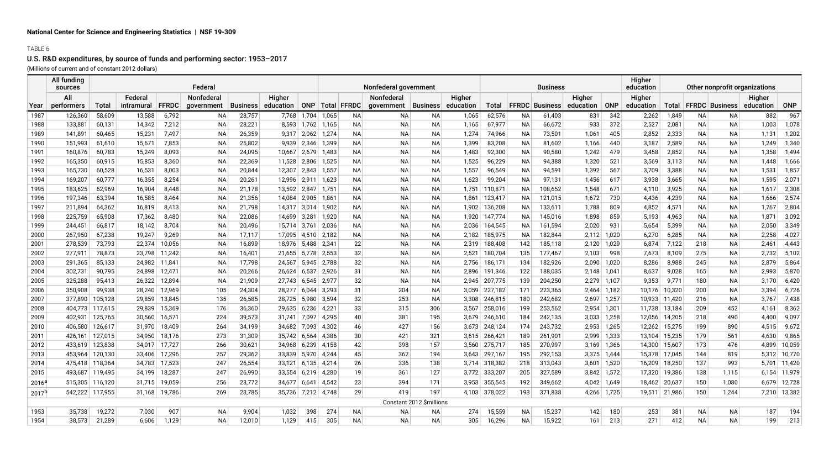## TABLE 6

# U.S. R&D expenditures, by source of funds and performing sector: 1953–2017

(Millions of current and of constant 2012 dollars)

|            | All funding<br>sources |         |                       |        | Federal                  |          |                     |                    |       |                     | Nonfederal government               |                          |                     |               |           | <b>Business</b>       |                           |               | Higher<br>education | Other nonprofit organizations |           |                       |                     |              |
|------------|------------------------|---------|-----------------------|--------|--------------------------|----------|---------------------|--------------------|-------|---------------------|-------------------------------------|--------------------------|---------------------|---------------|-----------|-----------------------|---------------------------|---------------|---------------------|-------------------------------|-----------|-----------------------|---------------------|--------------|
| Year       | All<br>performers      | Total   | Federal<br>intramural | FFRDC  | Nonfederal<br>government | Business | Higher<br>education |                    |       | ONP   Total   FFRDC | Nonfederal<br>qovernment   Business |                          | Higher<br>education | <b>Total</b>  |           | <b>FFRDC</b> Business | Higher<br>education   ONP |               | Higher<br>education | Total                         |           | <b>FFRDC Business</b> | Higher<br>education | ONP          |
| 1987       | 126,360                | 58,609  | 13,588                | 6,792  | <b>NA</b>                | 28,757   | 7,768               | 1,704              | 1,065 | <b>NA</b>           | <b>NA</b>                           | <b>NA</b>                | 1,065               | 62,576        | NA        | 61,403                | 831                       | 342           | 2,262               | 1,849                         | NA        | NA                    | 882                 | 967          |
| 1988       | 133,881                | 60,131  | 14,342                | 7,212  | <b>NA</b>                | 28,221   | 8,593               | 1,762              | 1,165 | <b>NA</b>           | <b>NA</b>                           | <b>NA</b>                | 1,165               | 67,977        | NA        | 66,672                | 933                       | 372           | 2,527               | 2,081                         | NA        | <b>NA</b>             | 1,003               | 1,078        |
| 1989       | 141,891                | 60,465  | 15,231                | 7,497  | <b>NA</b>                | 26,359   | 9,317               | 2,062              | 1,274 | <b>NA</b>           | <b>NA</b>                           | <b>NA</b>                | 1,274               | 74,966        | <b>NA</b> | 73,501                | 1,061                     | 405           | 2,852               | 2,333                         | <b>NA</b> | <b>NA</b>             | 1,131               | 1,202        |
| 1990       | 151,993                | 61,610  | 15,671                | 7,853  | <b>NA</b>                | 25,802   | 9,939               | 2,346              | 1,399 | <b>NA</b>           | <b>NA</b>                           | <b>NA</b>                | 1,399               | 83,208        | <b>NA</b> | 81,602                | 1,166                     | 440           | 3,187               | 2,589                         | <b>NA</b> | <b>NA</b>             | 1,249               | 1,340        |
| 1991       | 160,876                | 60,783  | 15,249                | 8,093  | NA                       | 24,095   | 10,667              | 2,679              | 1,483 | <b>NA</b>           | <b>NA</b>                           | <b>NA</b>                | 1,483               | 92,300        | NA        | 90,580                | 1,242                     | 479           | 3,458               | 2,852                         | NA.       | <b>NA</b>             | 1,358               | 1,494        |
| 1992       | 165,350                | 60,915  | 15,853                | 8,360  | ΝA                       | 22,369   | 11,528              | 2,806              | 1,525 | NA                  | ΝA                                  | <b>NA</b>                | 1,525               | 96,229        | NA        | 94,388                | 1,320                     | 521           | 3,569               | 3,113                         | NA        | ΝA                    | 1,448               | 1,666        |
| 1993       | 165,730                | 60,528  | 16,531                | 8,003  | ΝA                       | 20,844   | 12,307              | 2,843              | 1,557 | <b>NA</b>           | <b>NA</b>                           | <b>NA</b>                | 1,557               | 96,549        | NA        | 94,591                | 1,392                     | 567           | 3,709               | 3,388                         | NA        | <b>NA</b>             | 1,531               | 1,857        |
| 1994       | 169,207                | 60,777  | 16,355                | 8,254  | <b>NA</b>                | 20,261   | 12,996              | 2,911              | 1,623 | <b>NA</b>           | <b>NA</b>                           | <b>NA</b>                | 1,623               | 99,204        | NA        | 97,131                | 1,456                     | 617           | 3,938               | 3,665                         | NA        | <b>NA</b>             | 1,595               | 2,071        |
| 1995       | 183,625                | 62,969  | 16,904                | 8,448  | NA                       | 21,178   | 13,592 2,847        |                    | 1,751 | <b>NA</b>           | <b>NA</b>                           | <b>NA</b>                | 1,751               | 110,871       | <b>NA</b> | 108,652               | 1,548                     | 671           | 4,110               | 3,925                         | <b>NA</b> | <b>NA</b>             | 1,617               | 2,308        |
| 1996       | 197,346                | 63,394  | 16,585                | 8,464  | ΝA                       | 21,356   | 14,084              | 2,905              | 1,861 | ΝA                  | <b>NA</b>                           | <b>NA</b>                | 1,861               | 123,417       | NA        | 121,015               | 1,672                     | 730           | 4,436               | 4,239                         | NA        | <b>NA</b>             | 1,666               | 2,574        |
| 1997       | 211,894                | 64,362  | 16,819                | 8,413  | ΝA                       | 21,798   |                     | 14,317 3,014       | 1,902 | ΝA                  | <b>NA</b>                           | <b>NA</b>                | 1,902               | 136,208       | NA        | 133,611               | 1,788                     | 809           | 4,852               | 4,571                         | NA        | <b>NA</b>             | 1,767               | 2,804        |
| 1998       | 225,759                | 65,908  | 17,362                | 8,480  | ΝA                       | 22,086   | 14,699              | 3,281              | 1,920 | <b>NA</b>           | <b>NA</b>                           | <b>NA</b>                | 1,920               | 147,774       | NA        | 145,016               | 1,898                     | 859           | 5,193               | 4,963                         | NA        | <b>NA</b>             | 1,871               | 3,092        |
| 1999       | 244,451                | 66,817  | 18,142                | 8,704  | ΝA                       | 20,496   | 15,714 3,761        |                    | 2,036 | NA                  | ΝA                                  | <b>NA</b>                | 2,036               | 164,545       | NA        | 161,594               | 2,020                     | 931           | 5,654               | 5,399                         | NA        | ΝA                    | 2,050               | 3,349        |
| 2000       | 267,950                | 67,238  | 19,247                | 9,269  | ΝA                       | 17,117   |                     | 17,095 4,510       | 2,182 | NA.                 | ΝA                                  | <b>NA</b>                | 2,182               | 185,975       | NA        | 182,844               |                           | $2,112$ 1,020 | 6,270               | 6,285                         | NA        | <b>NA</b>             | 2,258               | 4,027        |
| 2001       | 278,539                | 73,793  | 22,374                | 10,056 | <b>NA</b>                | 16,899   | 18,976              | 5,488              | 2,341 | 22                  | <b>NA</b>                           | <b>NA</b>                | 2,319               | 188,408       | 142       | 185,118               | 2,120                     | 1,029         | 6,874               | 7,122                         | 218       | <b>NA</b>             | 2,461               | 4,443        |
| 2002       | 277,911                | 78,873  | 23,798                | 11,242 | <b>NA</b>                | 16,401   | 21,655              | 5,778              | 2,553 | 32                  | <b>NA</b>                           | <b>NA</b>                | 2,521               | 180,704       | 135       | 177,467               | 2,103                     | 998           | 7,673               | 8,109                         | 275       | <b>NA</b>             | 2,732               | 5,102        |
| 2003       | 291,365                | 85,133  | 24,982                | 11,841 | <b>NA</b>                | 17,798   | 24,567              | 5,945              | 2,788 | 32                  | <b>NA</b>                           | <b>NA</b>                | 2,756               | 186,171       | 134       | 182,926               | 2,090                     | 1,020         | 8,286               | 8,988                         | 245       | <b>NA</b>             | 2,879               | 5,864        |
| 2004       | 302,731                | 90,795  | 24,898                | 12,471 | ΝA                       | 20,266   | 26,624              | 6,537              | 2,926 | 31                  | <b>NA</b>                           | <b>NA</b>                | 2,896               | 191,346       | 122       | 188,035               | $2,148$ 1,041             |               | 8,637               | 9,028                         | 165       | ΝA                    | 2,993               | 5,870        |
| 2005       | 325,288                | 95,413  | 26,322                | 12,894 | ΝA                       | 21,909   | 27,743              | 6,545              | 2,977 | 32                  | <b>NA</b>                           | <b>NA</b>                | 2,945               | 207,775       | 139       | 204,250               |                           | 2,279 1,107   | 9,353               | 9,771                         | 180       | ΝA                    | 3,170               | 6,420        |
| 2006       | 350,908                | 99,938  | 28,240                | 12,969 | 105                      | 24,304   | 28,277              | 6,044              | 3,293 | 31                  | 204                                 | NA                       | 3,059               | 227,182       | 171       | 223,365               |                           | $2,464$ 1,182 | 10,176              | 10,320                        | 200       | ΝA                    | 3,394               | 6,726        |
| 2007       | 377,890                | 105,128 | 29,859                | 13,845 | 135                      | 26,585   | 28,725              | 5,980              | 3,594 | 32                  | 253                                 | <b>NA</b>                | 3,308               | 246,815       | 180       | 242,682               |                           | 2,697 1,257   | 10,933              | 11,420                        | 216       | <b>NA</b>             | 3,767               | 7,438        |
| 2008       | 404,773                | 117,615 | 29,839                | 15,369 | 176                      | 36,360   | 29,635              | 6,236              | 4,221 | 33                  | 315                                 | 306                      | 3,567               | 258,016       | 199       | 253,562               | 2,954 1,301               |               | 11,738              | 13,184                        | 209       | 452                   | 4,161               | 8,362        |
| 2009       | 402,931                | 125,765 | 30,560                | 16,571 | 224                      | 39,573   | 31,741              | 7,097              | 4,295 | 40                  | 381                                 | 195                      | 3,679               | 246,610       | 184       | 242,135               | 3,033                     | 1,258         | 12,056              | 14,205                        | 218       | 490                   | 4,400               | 9,097        |
| 2010       | 406,580                | 126,617 | 31,970                | 18,409 | 264                      | 34,199   | 34,682              | 7,093              | 4,302 | 46                  | 427                                 | 156                      | 3,673               | 248,124       | 174       | 243,732               | 2,953                     | 1,265         | 12,262              | 15,275                        | 199       | 890                   | 4,515               | 9,672        |
| 2011       | 426,161                | 127,015 | 34,950                | 18,176 | 273                      | 31,309   | 35,742 6,564        |                    | 4,386 | 30                  | 421                                 | 321                      | 3,615               | 266,421       | 189       | 261,901               | 2,999                     | 1,333         | 13,104              | 15,235                        | 179       | 561                   | 4,630               | 9,865        |
| 2012       | 433,619                | 123,838 | 34,017                | 17,727 | 266                      | 30,621   |                     | 34,968 6,239       | 4,158 | 42                  | 398                                 | 157                      | 3,560               | 275,717       | 185       | 270,997               |                           | $3,169$ 1,366 | 14,300              | 15,607                        | 173       | 476                   | 4,899               | 10,059       |
| 2013       | 453,964                | 120,130 | 33,406                | 17,296 | 257                      | 29,362   | 33,839              | 5,970              | 4,244 | 45                  | 362                                 | 194                      | 3,643               | 297,167       | 195       | 292,153               |                           | $3,375$ 1,444 | 15,378              | 17,045                        | 144       | 819                   |                     | 5,312 10,770 |
| 2014       | 475,418 118,364        |         | 34,783                | 17,523 | 247                      | 26,554   |                     | $33,121$ 6,135     | 4,214 | 26                  | 336                                 | 138                      |                     | 3,714 318,382 | 218       | 313,043               |                           | $3,601$ 1,520 | 16,209              | 18,250                        | 137       | 993                   |                     | 5,701 11,420 |
| 2015       | 493.687                | 119,495 | 34.199                | 18,287 | 247                      | 26,990   | $33,554$ 6,219      |                    | 4,280 | 19                  | 361                                 | 127                      | 3.772               | 333,207       | 205       | 327,589               |                           | $3,842$ 1,572 | 17,320              | 19,386                        | 138       | 1,115                 |                     | 6,154 11,979 |
| $2016^6$   | 515,305                | 116,120 | 31,715                | 19,059 | 256                      | 23,772   | 34,677 6,641        |                    | 4,542 | 23                  | 394                                 | 171                      | 3,953               | 355,545       | 192       | 349,662               |                           | 4,042 1,649   | 18,462              | 20,637                        | 150       | 1,080                 |                     | 6,679 12,728 |
| $2017^{h}$ | 542,222                | 117,955 | 31,168                | 19,786 | 269                      | 23,785   |                     | 35,736 7,212 4,748 |       | 29                  | 419                                 | 197                      | 4,103               | 378,022       | 193       | 371,838               |                           | 4,266 1,725   | 19,511              | 21,986                        | 150       | 1,244                 |                     | 7,210 13,382 |
|            |                        |         |                       |        |                          |          |                     |                    |       |                     |                                     | Constant 2012 \$millions |                     |               |           |                       |                           |               |                     |                               |           |                       |                     |              |
| 1953       | 35,738                 | 19,272  | 7,030                 | 907    | <b>NA</b>                | 9,904    | 1,032               | 398                | 274   | <b>NA</b>           | NA                                  | <b>NA</b>                | 274                 | 15,559        | NA        | 15,237                | 142                       | 180           | 253                 | 381                           | NA        | ΝA                    | 187                 | 194          |
| 1954       | 38,573                 | 21,289  | 6,606                 | 1,129  | NA.                      | 12,010   | 1,129               | 415                | 305   | <b>NA</b>           | <b>NA</b>                           | <b>NA</b>                | 305                 | 16,296        | <b>NA</b> | 15,922                | 161                       | 213           | 271                 | 412                           | <b>NA</b> | <b>NA</b>             | 199                 | 213          |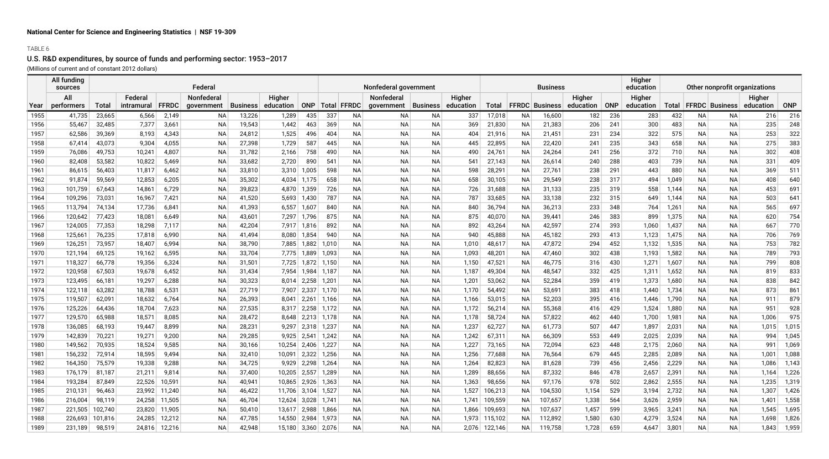## TABLE 6

# U.S. R&D expenditures, by source of funds and performing sector: 1953–2017

(Millions of current and of constant 2012 dollars)

|      | All funding<br>sources |              |                       |              | Federal                  |                 |                     |                |       |             | Nonfederal government    |           |                     |         |           | <b>Business</b>       |                     |            | Higher<br>education | Other nonprofit organizations |           |                       |                     |            |
|------|------------------------|--------------|-----------------------|--------------|--------------------------|-----------------|---------------------|----------------|-------|-------------|--------------------------|-----------|---------------------|---------|-----------|-----------------------|---------------------|------------|---------------------|-------------------------------|-----------|-----------------------|---------------------|------------|
| Year | All<br>performers      | <b>Total</b> | Federal<br>intramural | <b>FFRDC</b> | Nonfederal<br>government | <b>Business</b> | Higher<br>education | <b>ONP</b>     |       | Total FFRDC | Nonfederal<br>qovernment | Business  | Higher<br>education | Total   |           | <b>FFRDC</b> Business | Higher<br>education | <b>ONP</b> | Higher<br>education | Total                         |           | <b>FFRDC</b> Business | Higher<br>education | <b>ONP</b> |
| 1955 | 41,735                 | 23,665       | 6,566                 | 2,149        | ΝA                       | 13,226          | 1,289               | 435            | 337   | ΝA          | <b>NA</b>                | <b>NA</b> | 337                 | 17,018  | NA        | 16,600                | 182                 | 236        | 283                 | 432                           | NA        | NА                    | 216                 | 216        |
| 1956 | 55,467                 | 32,485       | 7,377                 | 3,661        | ΝA                       | 19,543          | 1,442               | 463            | 369   | NA          | <b>NA</b>                | ΝA        | 369                 | 21,830  | NA        | 21,383                | 206                 | 241        | 300                 | 483                           | NА        | ΝA                    | 235                 | 248        |
| 1957 | 62,586                 | 39,369       | 8,193                 | 4,343        | ΝA                       | 24,812          | 1,525               | 496            | 404   | NA          | <b>NA</b>                | <b>NA</b> | 404                 | 21,916  | NA        | 21,451                | 231                 | 234        | 322                 | 575                           | <b>NA</b> | ΝA                    | 253                 | 322        |
| 1958 | 67,414                 | 43,073       | 9,304                 | 4,055        | NA                       | 27,398          | 1,729               | 587            | 445   | NA          | ΝA                       | ΝA        | 445                 | 22,895  | NA        | 22,420                | 241                 | 235        | 343                 | 658                           | NА        | NА                    | 275                 | 383        |
| 1959 | 76,086                 | 49,753       | 10,241                | 4,807        | NA.                      | 31,782          | 2,166               | 758            | 490   | NA.         | ΝA                       | <b>NA</b> | 490                 | 24,761  | NA.       | 24,264                | 241                 | 256        | 372                 | 710                           | <b>NA</b> | NA.                   | 302                 | 408        |
| 1960 | 82,408                 | 53,582       | 10,822                | 5,469        | <b>NA</b>                | 33,682          | 2,720               | 890            | 541   | NA.         | <b>NA</b>                | <b>NA</b> | 541                 | 27,143  | NA        | 26,614                | 240                 | 288        | 403                 | 739                           | <b>NA</b> | NA.                   | 331                 | 409        |
| 1961 | 86,615                 | 56,403       | 11,817                | 6,462        | ΝA                       | 33,810          | 3,310               | 1,005          | 598   | NA.         | ΝA                       | <b>NA</b> | 598                 | 28,291  | NА        | 27,761                | 238                 | 291        | 443                 | 880                           | <b>NA</b> | NA.                   | 369                 | 511        |
| 1962 | 91,874                 | 59,569       | 12,853                | 6,205        | ΝA                       | 35,302          | 4,034               | 1,175          | 658   | ΝA          | ΝA                       | NA        | 658                 | 30,105  | NA        | 29,549                | 238                 | 317        | 494                 | 1,049                         | NА        | ΝA                    | 408                 | 640        |
| 1963 | 101,759                | 67,643       | 14,861                | 6,729        | ΝA                       | 39,823          | 4,870               | 1,359          | 726   | NA          | ΝA                       | ΝA        | 726                 | 31,688  | NA        | 31,133                | 235                 | 319        | 558                 | 1,144                         | NА        | ΝA                    | 453                 | 691        |
| 1964 | 109,296                | 73,031       | 16,967                | 7,421        | ΝA                       | 41,520          | 5,693               | 1,430          | 787   | NA          | ΝA                       | NA        | 787                 | 33,685  | NA.       | 33,138                | 232                 | 315        | 649                 | 1,144                         | NА        | ΝA                    | 503                 | 641        |
| 1965 | 113,794                | 74,134       | 17,736                | 6,841        | NA                       | 41,393          | 6,557               | 1,607          | 840   | NA          | ΝA                       | NA        | 840                 | 36,794  | NA.       | 36,213                | 233                 | 348        | 764                 | 1,261                         | ΝA        | ΝA                    | 565                 | 697        |
| 1966 | 120,642                | 77,423       | 18,081                | 6,649        | <b>NA</b>                | 43,601          | 7,297               | 1,796          | 875   | NA.         | ΝA                       | <b>NA</b> | 875                 | 40,070  | NA        | 39,441                | 246                 | 383        | 899                 | 1,375                         | <b>NA</b> | NA.                   | 620                 | 754        |
| 1967 | 124,005                | 77,353       | 18,298                | 7,117        | <b>NA</b>                | 42,204          | 7,917               | 1,816          | 892   | NA          | <b>NA</b>                | <b>NA</b> | 892                 | 43,264  | NA        | 42,597                | 274                 | 393        | 1,060               | 1,437                         | NA.       | <b>NA</b>             | 667                 | 770        |
| 1968 | 125,661                | 76,235       | 17,818                | 6,990        | <b>NA</b>                | 41,494          | 8,080               | 1,854          | 940   | NA.         | ΝA                       | <b>NA</b> | 940                 | 45,888  | NA        | 45,182                | 293                 | 413        | 1,123               | 1,475                         | <b>NA</b> | NA.                   | 706                 | 769        |
| 1969 | 126,251                | 73,957       | 18,407                | 6,994        | ΝA                       | 38,790          | 7,885               | 1,882          | 1,010 | NA.         | ΝA                       | NA        | 1,010               | 48,617  | NА        | 47,872                | 294                 | 452        | 1,132               | 1,535                         | NА        | NA.                   | 753                 | 782        |
| 1970 | 121,194                | 69,125       | 19,162                | 6,595        | ΝA                       | 33,704          | 7,775               | 1,889          | 1,093 | NA          | <b>NA</b>                | <b>NA</b> | 1,093               | 48,201  | NA        | 47,460                | 302                 | 438        | 1,193               | 1,582                         | NА        | ΝA                    | 789                 | 793        |
| 1971 | 118,327                | 66,778       | 19,356                | 6,324        | ΝA                       | 31,501          | 7,725               | 1,872          | 1,150 | ΝA          | ΝA                       | <b>NA</b> | 1,150               | 47,521  | NA        | 46,775                | 316                 | 430        | 1,271               | 1,607                         | NА        | ΝA                    | 799                 | 808        |
| 1972 | 120,958                | 67,503       | 19,678                | 6,452        | NA.                      | 31,434          | 7.954               | 1,984          | 1,187 | NA.         | ΝA                       | <b>NA</b> | 1,187               | 49,304  | NA.       | 48,547                | 332                 | 425        | 1,311               | 1,652                         | <b>NA</b> | <b>NA</b>             | 819                 | 833        |
| 1973 | 123,495                | 66,181       | 19,297                | 6,288        | <b>NA</b>                | 30,323          | 8.014               | 2,258          | 1,201 | NA.         | <b>NA</b>                | <b>NA</b> | 1,201               | 53,062  | NA        | 52,284                | 359                 | 419        | 1,373               | 1,680                         | <b>NA</b> | <b>NA</b>             | 838                 | 842        |
| 1974 | 122,118                | 63,282       | 18,788                | 6,531        | <b>NA</b>                | 27,719          | 7,907               | 2,337          | 1,170 | NA.         | <b>NA</b>                | <b>NA</b> | 1,170               | 54,492  | NA        | 53,691                | 383                 | 418        | 1,440               | 1,734                         | <b>NA</b> | <b>NA</b>             | 873                 | 861        |
| 1975 | 119,507                | 62,091       | 18,632                | 6,764        | <b>NA</b>                | 26,393          | 8,041               | 2,261          | 1,166 | NA.         | ΝA                       | <b>NA</b> | 1,166               | 53,015  | NA        | 52,203                | 395                 | 416        | 1,446               | 1,790                         | <b>NA</b> | <b>NA</b>             | 911                 | 879        |
| 1976 | 125,226                | 64,436       | 18,704                | 7,623        | ΝA                       | 27,535          | 8,317               | 2,258          | 1,172 | NA          | ΝA                       | NA        | 1,172               | 56,214  | NA        | 55,368                | 416                 | 429        | 1,524               | 1,880                         | NА        | ΝA                    | 951                 | 928        |
| 1977 | 129,570                | 65,988       | 18,571                | 8,085        | ΝA                       | 28,472          | 8,648               | 2,213          | 1,178 | ΝA          | <b>NA</b>                | <b>NA</b> | 1,178               | 58,724  | NA        | 57,822                | 462                 | 440        | 1,700               | 1,981                         | NА        | ΝA                    | 1,006               | 975        |
| 1978 | 136,085                | 68,193       | 19,447                | 8,899        | ΝA                       | 28,231          | 9,297               | 2,318          | 1,237 | NA          | ΝA                       | NA        | 1,237               | 62,727  | NA        | 61,773                | 507                 | 447        | 1,897               | 2,031                         | NА        | NА                    | 1,015               | 1,015      |
| 1979 | 142,839                | 70,221       | 19,271                | 9,200        | <b>NA</b>                | 29,285          | 9,925               | 2,541          | 1,242 | NA.         | <b>NA</b>                | <b>NA</b> | 1,242               | 67,311  | NA.       | 66,309                | 553                 | 449        | 2,025               | 2,039                         | NA.       | <b>NA</b>             | 994                 | 1,045      |
| 1980 | 149,562                | 70,935       | 18,524                | 9,585        | <b>NA</b>                | 30,166          | 10,254              | 2,406          | 1,227 | NA          | <b>NA</b>                | <b>NA</b> | 1,227               | 73,165  | NA        | 72,094                | 623                 | 448        | 2,175               | 2,060                         | NA.       | NA.                   | 991                 | 1,069      |
| 1981 | 156,232                | 72,914       | 18,595                | 9,494        | <b>NA</b>                | 32,410          | 10,091              | 2,322          | 1,256 | NA          | <b>NA</b>                | <b>NA</b> | 1,256               | 77,688  | NA        | 76,564                | 679                 | 445        | 2,285               | 2,089                         | NA.       | <b>NA</b>             | 1,001               | 1,088      |
| 1982 | 164,350                | 75,579       | 19,338                | 9,288        | ΝA                       | 34,725          | 9,929               | 2,298          | 1,264 | NA          | ΝA                       | NA        | 1,264               | 82,823  | NA        | 81,628                | 739                 | 456        | 2,456               | 2,229                         | NА        | NА                    | 1,086               | 1,143      |
| 1983 | 176,179                | 81,187       | 21,211                | 9,814        | ΝA                       | 37,400          | 10,205              | 2,557          | 1,289 | NA          | <b>NA</b>                | <b>NA</b> | 1,289               | 88,656  | NA        | 87,332                | 846                 | 478        | 2,657               | 2,391                         | NА        | NА                    | 1,164               | 1,226      |
| 1984 | 193,284                | 87,849       | 22,526                | 10,591       | ΝA                       | 40,941          | 10,865              | 2,926          | 1,363 | NA          | <b>NA</b>                | <b>NA</b> | 1,363               | 98,656  | NA        | 97,176                | 978                 | 502        | 2,862               | 2,555                         | <b>NA</b> | ΝA                    | 1,235               | 1,319      |
| 1985 | 210,131                | 96,463       | 23,992                | 11,240       | NA.                      | 46,422          |                     | $11,706$ 3,104 | 1,527 | NA.         | ΝA                       | <b>NA</b> | 1,527               | 106,213 | NA.       | 104,530               | 1,154               | 529        | 3,194               | 2,732                         | <b>NA</b> | NA.                   | 1,307               | 1,426      |
| 1986 | 216,004                | 98,119       | 24,258                | 11,505       | <b>NA</b>                | 46,704          | 12,624              | 3,028          | 1,741 | NA.         | ΝA                       | <b>NA</b> | 1,741               | 109,559 | <b>NA</b> | 107,657               | 1,338               | 564        | 3,626               | 2,959                         | <b>NA</b> | <b>NA</b>             | 1,401               | 1,558      |
| 1987 | 221,505                | 102,740      | 23,820                | 11,905       | <b>NA</b>                | 50,410          | 13,617              | 2,988          | 1,866 | NA          | <b>NA</b>                | <b>NA</b> | 1,866               | 109,693 | NA        | 107,637               | 1,457               | 599        | 3,965               | 3,241                         | NA        | ΝA                    | 1,545               | 1,695      |
| 1988 | 226,693                | 101,816      | 24,285                | 12,212       | <b>NA</b>                | 47,785          | 14,550              | 2,984          | 1,973 | NA.         | ΝA                       | <b>NA</b> | 1,973               | 115,102 | NA        | 112,892               | 1,580               | 630        | 4,279               | 3,524                         | <b>NA</b> | NA.                   | 1,698               | 1,826      |
| 1989 | 231,189                | 98,519       | 24,816                | 12,216       | <b>NA</b>                | 42,948          |                     | 15,180 3,360   | 2,076 | NA          | NA                       | <b>NA</b> | 2,076               | 122,146 | NA        | 119,758               | 1,728               | 659        | 4,647               | 3,801                         | <b>NA</b> | NA.                   | 1,843               | 1,959      |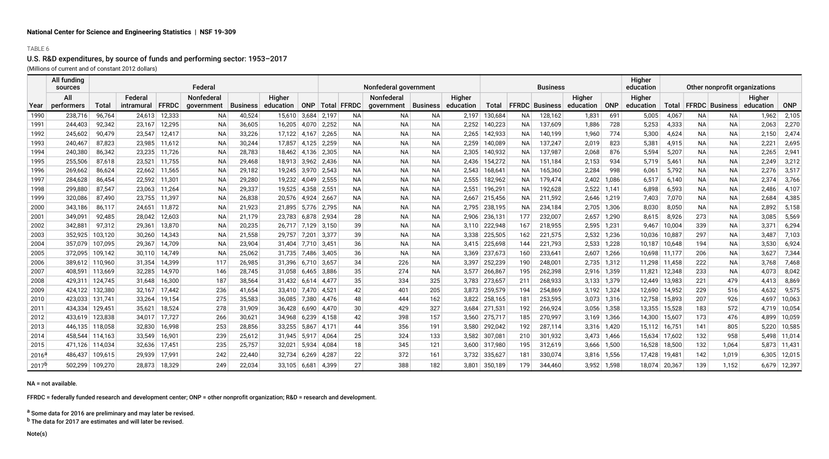#### TABLE 6

## U.S. R&D expenditures, by source of funds and performing sector: 1953–2017

(Millions of current and of constant 2012 dollars)

|          | All funding<br>sources |         |            |              | Federal    |                 |           |       |       |                     | Nonfederal government |                 |           |               |           | <b>Business</b>       |                 |       | Higher<br>education | Other nonprofit organizations |           |                       |           |            |
|----------|------------------------|---------|------------|--------------|------------|-----------------|-----------|-------|-------|---------------------|-----------------------|-----------------|-----------|---------------|-----------|-----------------------|-----------------|-------|---------------------|-------------------------------|-----------|-----------------------|-----------|------------|
|          | All                    |         | Federal    |              | Nonfederal |                 | Higher    |       |       |                     | Nonfederal            |                 | Higher    |               |           |                       | Higher          |       | Higher              |                               |           |                       | Higher    |            |
| Year     | performers             | Total   | intramural | <b>FFRDC</b> | government | <b>Business</b> | education |       |       | ONP   Total   FFRDC | government            | <b>Business</b> | education | Total         |           | <b>FFRDC Business</b> | education   ONP |       | education           | Total                         |           | <b>FFRDC Business</b> | education | <b>ONP</b> |
| 1990     | 238,716                | 96,764  | 24,613     | 12,333       | NA.        | 40,524          | 15,610    | 3,684 | 2,197 | NA.                 | ΝA                    | ΝA              | 2,197     | 130,684       | NA        | 128,162               | 1,831           | 691   | 5,005               | 4,067                         | <b>NA</b> | ΝA                    | 1,962     | 2,105      |
| 1991     | 244,403                | 92,342  | 23,167     | 12,295       | <b>NA</b>  | 36,605          | 16,205    | 4.070 | 2,252 | NA.                 | NА                    | <b>NA</b>       | 2,252     | 140,223       | <b>NA</b> | 137,609               | 1,886           | 728   | 5,253               | 4,333                         | <b>NA</b> | NA.                   | 2,063     | 2,270      |
| 1992     | 245,602                | 90,479  | 23,547     | 12,417       | NA.        | 33,226          | 17.122    | 4,167 | 2,265 | NA.                 | NA                    | <b>NA</b>       | 2.265     | 142,933       | NA.       | 140,199               | 1,960           | 774   | 5,300               | 4,624                         | <b>NA</b> | NA.                   | 2,150     | 2,474      |
| 1993     | 240,467                | 87,823  | 23,985     | 11,612       | NA.        | 30,244          | 17.857    | 4,125 | 2,259 | NA.                 | NА                    | <b>NA</b>       | 2,259     | 140,089       | NA.       | 137,247               | 2,019           | 823   | 5,381               | 4,915                         | <b>NA</b> | NA.                   | 2,221     | 2,695      |
| 1994     | 240,380                | 86,342  | 23,235     | 11,726       | <b>NA</b>  | 28,783          | 18.462    | 4,136 | 2,305 | NA.                 | NА                    | <b>NA</b>       | 2,305     | 140,932       | <b>NA</b> | 137,987               | 2,068           | 876   | 5,594               | 5,207                         | <b>NA</b> | NA.                   | 2,265     | 2,941      |
| 1995     | 255,506                | 87,618  | 23,521     | 11,755       | NA.        | 29,468          | 18.913    | 3,962 | 2,436 | NA.                 | ΝA                    | NA              | 2,436     | 154,272       | NA.       | 151,184               | 2,153           | 934   | 5,719               | 5,461                         | NA        | NA.                   | 2,249     | 3,212      |
| 1996     | 269,662                | 86,624  | 22,662     | 11,565       | NA         | 29,182          | 19,245    | 3,970 | 2,543 | NA.                 | NА                    | <b>NA</b>       | 2,543     | 168,641       | NA.       | 165,360               | 2,284           | 998   | 6,061               | 5,792                         | <b>NA</b> | NA.                   | 2,276     | 3,51       |
| 1997     | 284,628                | 86,454  | 22,592     | 11,301       | <b>NA</b>  | 29,280          | 19,232    | 4,049 | 2,555 | <b>NA</b>           | NА                    | <b>NA</b>       | 2,555     | 182,962       | <b>NA</b> | 179,474               | 2,402           | 1,086 | 6,517               | 6,140                         | <b>NA</b> | NA.                   | 2,374     | 3,766      |
| 1998     | 299,880                | 87,547  | 23,063     | 11,264       | NA.        | 29,337          | 19.525    | 4,358 | 2,551 | NA.                 | NA                    | <b>NA</b>       | 2,551     | 196,291       | NA.       | 192,628               | 2,522           | 1.141 | 6,898               | 6,593                         | NA        | NA.                   | 2,486     | 4,107      |
| 1999     | 320,086                | 87,490  | 23,755     | 11,397       | NA.        | 26,838          | 20,576    | 4,924 | 2,667 | <b>NA</b>           | NА                    | <b>NA</b>       | 2,667     | 215,456       | NA.       | 211,592               | 2,646           | 1,219 | 7,403               | 7,070                         | <b>NA</b> | NA.                   | 2,684     | 4,385      |
| 2000     | 343,186                | 86,117  | 24.651     | 11,872       | <b>NA</b>  | 21,923          | 21.895    | 5.776 | 2,795 | <b>NA</b>           | NА                    | <b>NA</b>       | 2.795     | 238,195       | <b>NA</b> | 234,184               | 2,705           | 1,306 | 8,030               | 8,050                         | <b>NA</b> | NA.                   | 2,892     | 5,158      |
| 2001     | 349,091                | 92,485  | 28,042     | 12,603       | NA.        | 21,179          | 23.783    | 6,878 | 2,934 | 28                  | NA                    | NA              | 2,906     | 236,131       | 177       | 232,007               | 2,657           | 1,290 | 8,615               | 8,926                         | 273       | NA.                   | 3,085     | 5,569      |
| 2002     | 342,881                | 97,312  | 29,361     | 13,870       | NA.        | 20,235          | 26,717    | 7,129 | 3,150 | 39                  | <b>NA</b>             | <b>NA</b>       | 3,110     | 222,948       | 167       | 218,955               | 2,595           | 1,231 | 9,467               | 10,004                        | 339       | NA.                   | 3,371     | 6,294      |
| 2003     | 352,925                | 103,120 | 30,260     | 14,343       | <b>NA</b>  | 21,558          | 29,757    | 7,201 | 3,377 | 39                  | ΝA                    | <b>NA</b>       | 3,338     | 225,505       | 162       | 221,575               | 2,532           | 1,236 | 10,036              | 10,887                        | 297       | NA.                   | 3,487     | 7,103      |
| 2004     | 357.079                | 107,095 | 29,367     | 14,709       | NA.        | 23,904          | 31.404    | 7.710 | 3,451 | 36                  | NA                    | <b>NA</b>       | 3.415     | 225,698       | 144       | 221,793               | 2,533           | 1,228 | 10,187              | 10,648                        | 194       | NA.                   | 3,530     | 6,924      |
| 2005     | 372,095                | 109,142 | 30,110     | 14,749       | NA.        | 25,062          | 31,735    | 7,486 | 3,405 | 36                  | NА                    | <b>NA</b>       | 3,369     | 237,673       | 160       | 233,641               | 2,607           | 1,266 | 10,698              | 11,177                        | 206       | NA.                   | 3,627     | 7,344      |
| 2006     | 389.612                | 110,960 | 31,354     | 14,399       | 117        | 26,985          | 31.396    | 6.710 | 3,657 | 34                  | 226                   | <b>NA</b>       | 3.397     | 252,239       | 190       | 248,001               | 2,735           | 1,312 | 11,298              | 11,458                        | 222       | NA.                   | 3,768     | 7,468      |
| 2007     | 408.591                | 113,669 | 32,285     | 14,970       | 146        | 28,745          | 31,058    | 6,465 | 3,886 | 35                  | 274                   | NA              | 3,577     | 266,867       | 195       | 262,398               | 2,916           | 1,359 | 11,821              | 12,348                        | 233       | NA.                   | 4,073     | 8,042      |
| 2008     | 429,311                | 124,745 | 31,648     | 16,300       | 187        | 38,564          | 31,432    | 6,614 | 4,477 | 35                  | 334                   | 325             | 3,783     | 273,657       | 211       | 268,933               | 3,133           | 1,379 | 12,449              | 13,983                        | 221       | 479                   | 4,413     | 8,869      |
| 2009     | 424,122                | 132,380 | 32,167     | 17,442       | 236        | 41,654          | 33,410    | 7,470 | 4,521 | 42                  | 401                   | 205             | 3,873     | 259,579       | 194       | 254,869               | 3,192           | 1,324 | 12,690              | 14,952                        | 229       | 516                   | 4,632     | 9,575      |
| 2010     | 423.033                | 131,741 | 33,264     | 19,154       | 275        | 35,583          | 36.085    | 7,380 | 4,476 | 48                  | 444                   | 162             | 3.822     | 258,165       | 181       | 253,595               | 3,073           | 1,316 | 12,758              | 15,893                        | 207       | 926                   | 4,697     | 10,063     |
| 2011     | 434,334                | 129,451 | 35,621     | 18,524       | 278        | 31,909          | 36,428    | 6,690 | 4,470 | 30                  | 429                   | 327             | 3,684     | 271,531       | 192       | 266,924               | 3,056           | 1,358 | 13,355              | 15,528                        | 183       | 572                   | 4,719     | 10,054     |
| 2012     | 433.619                | 123,838 | 34.017     | 17,727       | 266        | 30,621          | 34.968    | 6,239 | 4.158 | 42                  | 398                   | 157             |           | 3,560 275,717 | 185       | 270,997               | 3.169           | 1,366 | 14,300              | 15,607                        | 173       | 476                   | 4.899     | 10,059     |
| 2013     | 446,135                | 118,058 | 32,830     | 16,998       | 253        | 28,856          | 33,255    | 5,867 | 4.171 | 44                  | 356                   | 191             | 3,580     | 292,042       | 192       | 287,114               | 3,316           | 1,420 | 15,112              | 16,751                        | 141       | 805                   | 5,220     | 10,585     |
| 2014     | 458,544                | 114,163 | 33,549     | 16,901       | 239        | 25,612          | 31,945    | 5,917 | 4,064 | 25                  | 324                   | 133             | 3,582     | 307,081       | 210       | 301,932               | 3,473           | 1,466 | 15,634              | 17,602                        | 132       | 958                   | 5,498     | 11,014     |
| 2015     | 471,126                | 114,034 | 32,636     | 17,451       | 235        | 25,757          | 32,021    | 5,934 | 4,084 | 18                  | 345                   | 121             | 3,600     | 317,980       | 195       | 312,619               | 3,666           | 1,500 | 16,528              | 18,500                        | 132       | 1,064                 | 5,873     | 11,431     |
| $2016^5$ | 486.437                | 109,615 | 29.939     | 17,991       | 242        | 22,440          | 32.734    | 6,269 | 4,287 | 22                  | 372                   | 161             | 3.732     | 335,627       | 181       | 330,074               | 3,816           | 1,556 | 17,428              | 19,481                        | 142       | 1,019                 | 6,305     | 12,015     |
| $2017^k$ | 502.299                | 109,270 | 28,873     | 18,329       | 249        | 22,034          | 33,105    | 6,681 | 4,399 | 27                  | 388                   | 182             | 3,801     | 350,189       | 179       | 344,460               | 3,952           | 1,598 | 18,074              | 20,367                        | 139       | 1.152                 | 6,679     | 12,397     |

NA = not available.

FFRDC = federally funded research and development center; ONP = other nonprofit organization; R&D = research and development.

a Some data for 2016 are preliminary and may later be revised.

<sup>b</sup> The data for 2017 are estimates and will later be revised.